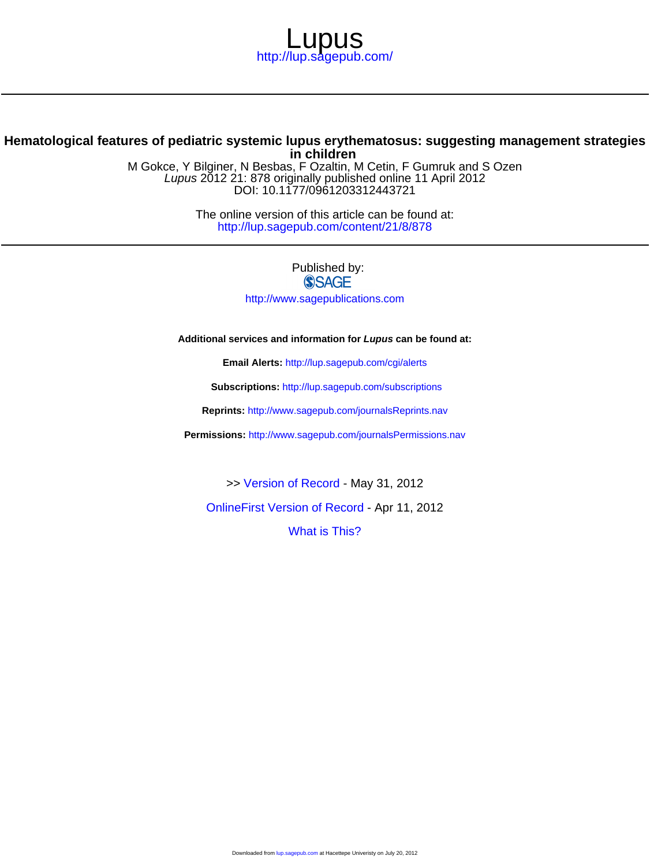

#### **in children Hematological features of pediatric systemic lupus erythematosus: suggesting management strategies**

DOI: 10.1177/0961203312443721 Lupus 2012 21: 878 originally published online 11 April 2012 M Gokce, Y Bilginer, N Besbas, F Ozaltin, M Cetin, F Gumruk and S Ozen

> <http://lup.sagepub.com/content/21/8/878> The online version of this article can be found at:

> > Published by:<br>
> > SAGE <http://www.sagepublications.com>

**Additional services and information for Lupus can be found at:**

**Email Alerts:** <http://lup.sagepub.com/cgi/alerts>

**Subscriptions:** <http://lup.sagepub.com/subscriptions>

**Reprints:** <http://www.sagepub.com/journalsReprints.nav>

**Permissions:** <http://www.sagepub.com/journalsPermissions.nav>

>> [Version of Record -](http://lup.sagepub.com/content/21/8/878.full.pdf) May 31, 2012

[OnlineFirst Version of Record -](http://lup.sagepub.com/content/early/2012/04/04/0961203312443721.full.pdf) Apr 11, 2012

[What is This?](http://online.sagepub.com/site/sphelp/vorhelp.xhtml)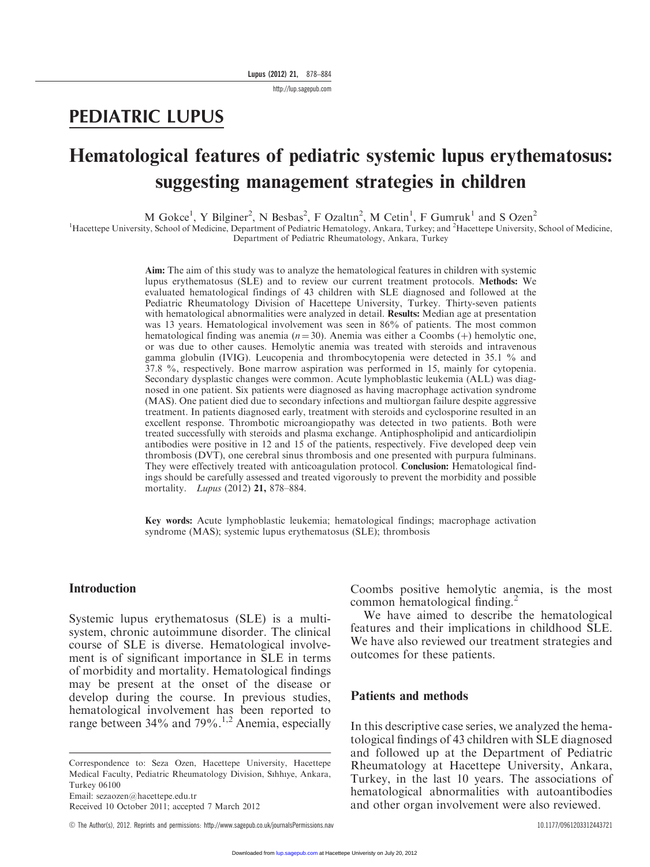http://lup.sagepub.com

## PEDIATRIC LUPUS

# Hematological features of pediatric systemic lupus erythematosus: suggesting management strategies in children

M Gokce<sup>1</sup>, Y Bilginer<sup>2</sup>, N Besbas<sup>2</sup>, F Ozaltın<sup>2</sup>, M Cetin<sup>1</sup>, F Gumruk<sup>1</sup> and S Ozen<sup>2</sup>

<sup>1</sup>Hacettepe University, School of Medicine, Department of Pediatric Hematology, Ankara, Turkey; and <sup>2</sup>Hacettepe University, School of Medicine, Department of Pediatric Rheumatology, Ankara, Turkey

> Aim: The aim of this study was to analyze the hematological features in children with systemic lupus erythematosus (SLE) and to review our current treatment protocols. Methods: We evaluated hematological findings of 43 children with SLE diagnosed and followed at the Pediatric Rheumatology Division of Hacettepe University, Turkey. Thirty-seven patients with hematological abnormalities were analyzed in detail. Results: Median age at presentation was 13 years. Hematological involvement was seen in 86% of patients. The most common hematological finding was anemia ( $n = 30$ ). Anemia was either a Coombs (+) hemolytic one, or was due to other causes. Hemolytic anemia was treated with steroids and intravenous gamma globulin (IVIG). Leucopenia and thrombocytopenia were detected in 35.1 % and 37.8 %, respectively. Bone marrow aspiration was performed in 15, mainly for cytopenia. Secondary dysplastic changes were common. Acute lymphoblastic leukemia (ALL) was diagnosed in one patient. Six patients were diagnosed as having macrophage activation syndrome (MAS). One patient died due to secondary infections and multiorgan failure despite aggressive treatment. In patients diagnosed early, treatment with steroids and cyclosporine resulted in an excellent response. Thrombotic microangiopathy was detected in two patients. Both were treated successfully with steroids and plasma exchange. Antiphospholipid and anticardiolipin antibodies were positive in 12 and 15 of the patients, respectively. Five developed deep vein thrombosis (DVT), one cerebral sinus thrombosis and one presented with purpura fulminans. They were effectively treated with anticoagulation protocol. Conclusion: Hematological findings should be carefully assessed and treated vigorously to prevent the morbidity and possible mortality. Lupus (2012) 21, 878–884.

> Key words: Acute lymphoblastic leukemia; hematological findings; macrophage activation syndrome (MAS); systemic lupus erythematosus (SLE); thrombosis

#### Introduction

Systemic lupus erythematosus (SLE) is a multisystem, chronic autoimmune disorder. The clinical course of SLE is diverse. Hematological involvement is of significant importance in SLE in terms of morbidity and mortality. Hematological findings may be present at the onset of the disease or develop during the course. In previous studies, hematological involvement has been reported to range between 34% and 79%.<sup>1,2</sup> Anemia, especially

Correspondence to: Seza Ozen, Hacettepe University, Hacettepe Medical Faculty, Pediatric Rheumatology Division, Sıhhıye, Ankara, Turkey 06100 Email: sezaozen@hacettepe.edu.tr

Received 10 October 2011; accepted 7 March 2012

Coombs positive hemolytic anemia, is the most common hematological finding.<sup>2</sup>

We have aimed to describe the hematological features and their implications in childhood SLE. We have also reviewed our treatment strategies and outcomes for these patients.

#### Patients and methods

In this descriptive case series, we analyzed the hematological findings of 43 children with SLE diagnosed and followed up at the Department of Pediatric Rheumatology at Hacettepe University, Ankara, Turkey, in the last 10 years. The associations of hematological abnormalities with autoantibodies and other organ involvement were also reviewed.

C The Author(s), 2012. Reprints and permissions: http://www.sagepub.co.uk/journalsPermissions.nav 10.1177/0961203312443721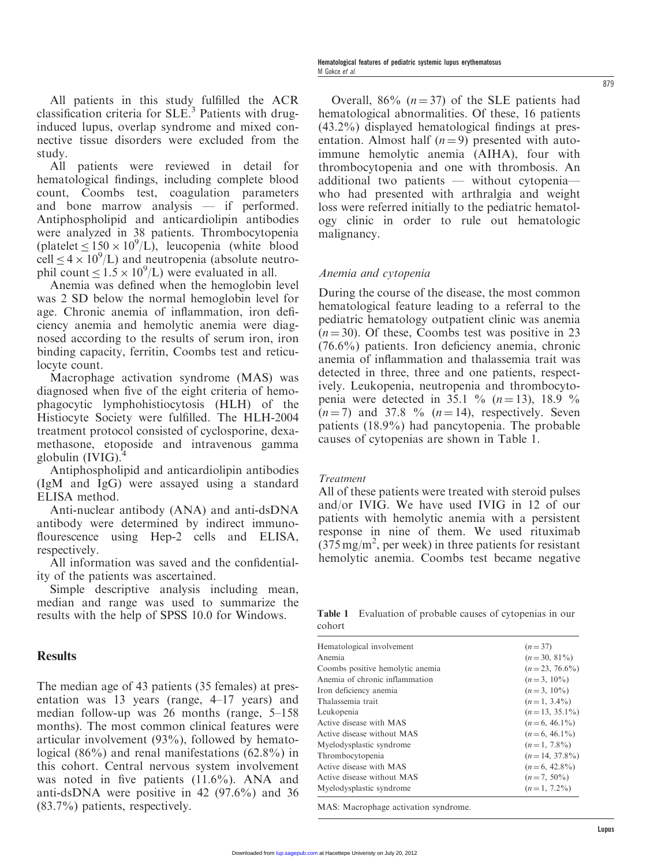All patients in this study fulfilled the ACR classification criteria for  $SLE<sup>3</sup>$  Patients with druginduced lupus, overlap syndrome and mixed connective tissue disorders were excluded from the study.

All patients were reviewed in detail for hematological findings, including complete blood count, Coombs test, coagulation parameters and bone marrow analysis — if performed. Antiphospholipid and anticardiolipin antibodies were analyzed in 38 patients. Thrombocytopenia (platelet  $\leq 150 \times 10^9$ /L), leucopenia (white blood cell  $\leq$  4  $\times$  10<sup>9</sup>/L) and neutropenia (absolute neutrophil count  $\leq 1.5 \times 10^9$ /L) were evaluated in all.

Anemia was defined when the hemoglobin level was 2 SD below the normal hemoglobin level for age. Chronic anemia of inflammation, iron deficiency anemia and hemolytic anemia were diagnosed according to the results of serum iron, iron binding capacity, ferritin, Coombs test and reticulocyte count.

Macrophage activation syndrome (MAS) was diagnosed when five of the eight criteria of hemophagocytic lymphohistiocytosis (HLH) of the Histiocyte Society were fulfilled. The HLH-2004 treatment protocol consisted of cyclosporine, dexamethasone, etoposide and intravenous gamma globulin  $(IVIG).<sup>4</sup>$ 

Antiphospholipid and anticardiolipin antibodies (IgM and IgG) were assayed using a standard ELISA method.

Anti-nuclear antibody (ANA) and anti-dsDNA antibody were determined by indirect immunoflourescence using Hep-2 cells and ELISA, respectively.

All information was saved and the confidentiality of the patients was ascertained.

Simple descriptive analysis including mean, median and range was used to summarize the results with the help of SPSS 10.0 for Windows.

#### **Results**

The median age of 43 patients (35 females) at presentation was 13 years (range, 4–17 years) and median follow-up was 26 months (range, 5–158 months). The most common clinical features were articular involvement (93%), followed by hematological (86%) and renal manifestations (62.8%) in this cohort. Central nervous system involvement was noted in five patients (11.6%). ANA and anti-dsDNA were positive in 42 (97.6%) and 36 (83.7%) patients, respectively.

Overall, 86%  $(n=37)$  of the SLE patients had hematological abnormalities. Of these, 16 patients (43.2%) displayed hematological findings at presentation. Almost half  $(n=9)$  presented with autoimmune hemolytic anemia (AIHA), four with thrombocytopenia and one with thrombosis. An additional two patients — without cytopenia who had presented with arthralgia and weight loss were referred initially to the pediatric hematology clinic in order to rule out hematologic malignancy.

#### Anemia and cytopenia

During the course of the disease, the most common hematological feature leading to a referral to the pediatric hematology outpatient clinic was anemia  $(n = 30)$ . Of these, Coombs test was positive in 23 (76.6%) patients. Iron deficiency anemia, chronic anemia of inflammation and thalassemia trait was detected in three, three and one patients, respectively. Leukopenia, neutropenia and thrombocytopenia were detected in 35.1 % ( $n = 13$ ), 18.9 %  $(n = 7)$  and 37.8 %  $(n = 14)$ , respectively. Seven patients (18.9%) had pancytopenia. The probable causes of cytopenias are shown in Table 1.

#### Treatment

All of these patients were treated with steroid pulses and/or IVIG. We have used IVIG in 12 of our patients with hemolytic anemia with a persistent response in nine of them. We used rituximab  $(375 \text{ mg/m}^2, \text{ per week})$  in three patients for resistant hemolytic anemia. Coombs test became negative

Table 1 Evaluation of probable causes of cytopenias in our cohort

| Hematological involvement        | $(n=37)$         |
|----------------------------------|------------------|
| Anemia                           | $(n=30, 81\%)$   |
| Coombs positive hemolytic anemia | $(n=23, 76.6\%)$ |
| Anemia of chronic inflammation   | $(n=3, 10\%)$    |
| Iron deficiency anemia           | $(n=3, 10\%)$    |
| Thalassemia trait                | $(n=1, 3.4\%)$   |
| Leukopenia                       | $(n=13, 35.1\%)$ |
| Active disease with MAS          | $(n=6, 46.1\%)$  |
| Active disease without MAS       | $(n=6, 46.1\%)$  |
| Myelodysplastic syndrome         | $(n=1, 7.8\%)$   |
| Thrombocytopenia                 | $(n=14, 37.8\%)$ |
| Active disease with MAS          | $(n=6, 42.8\%)$  |
| Active disease without MAS       | $(n=7, 50\%)$    |
| Myelodysplastic syndrome         | $(n=1, 7.2\%)$   |
|                                  |                  |

MAS: Macrophage activation syndrome.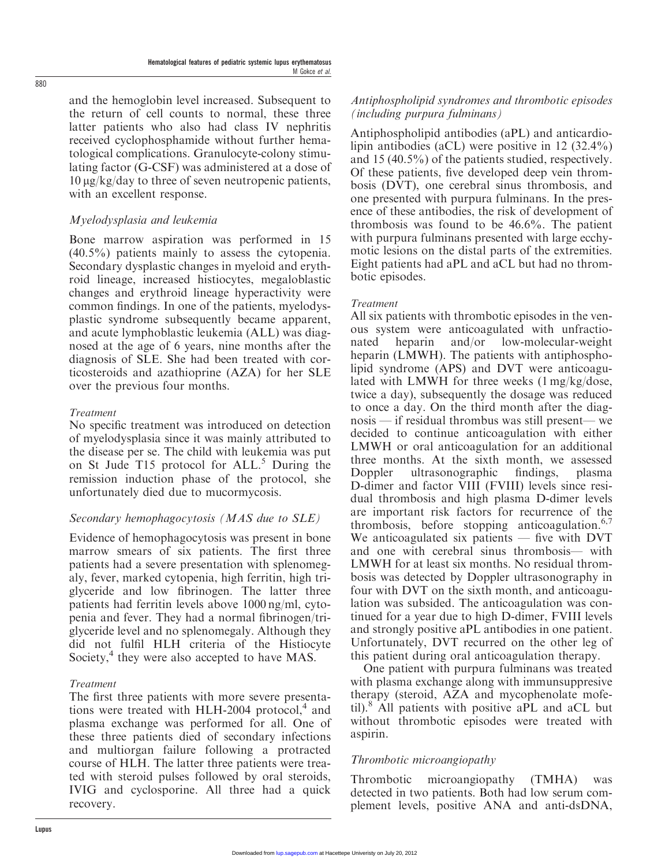and the hemoglobin level increased. Subsequent to the return of cell counts to normal, these three latter patients who also had class IV nephritis received cyclophosphamide without further hematological complications. Granulocyte-colony stimulating factor (G-CSF) was administered at a dose of  $10 \mu g/kg/day$  to three of seven neutropenic patients, with an excellent response.

#### Myelodysplasia and leukemia

Bone marrow aspiration was performed in 15 (40.5%) patients mainly to assess the cytopenia. Secondary dysplastic changes in myeloid and erythroid lineage, increased histiocytes, megaloblastic changes and erythroid lineage hyperactivity were common findings. In one of the patients, myelodysplastic syndrome subsequently became apparent, and acute lymphoblastic leukemia (ALL) was diagnosed at the age of 6 years, nine months after the diagnosis of SLE. She had been treated with corticosteroids and azathioprine (AZA) for her SLE over the previous four months.

#### Treatment

No specific treatment was introduced on detection of myelodysplasia since it was mainly attributed to the disease per se. The child with leukemia was put on St Jude T15 protocol for ALL.<sup>5</sup> During the remission induction phase of the protocol, she unfortunately died due to mucormycosis.

## Secondary hemophagocytosis (MAS due to SLE)

Evidence of hemophagocytosis was present in bone marrow smears of six patients. The first three patients had a severe presentation with splenomegaly, fever, marked cytopenia, high ferritin, high triglyceride and low fibrinogen. The latter three patients had ferritin levels above 1000 ng/ml, cytopenia and fever. They had a normal fibrinogen/triglyceride level and no splenomegaly. Although they did not fulfil HLH criteria of the Histiocyte Society,<sup>4</sup> they were also accepted to have MAS.

#### Treatment

The first three patients with more severe presentations were treated with HLH-2004 protocol, $4$  and plasma exchange was performed for all. One of these three patients died of secondary infections and multiorgan failure following a protracted course of HLH. The latter three patients were treated with steroid pulses followed by oral steroids, IVIG and cyclosporine. All three had a quick recovery.

#### Antiphospholipid syndromes and thrombotic episodes (including purpura fulminans)

Antiphospholipid antibodies (aPL) and anticardiolipin antibodies (aCL) were positive in 12 (32.4%) and 15 (40.5%) of the patients studied, respectively. Of these patients, five developed deep vein thrombosis (DVT), one cerebral sinus thrombosis, and one presented with purpura fulminans. In the presence of these antibodies, the risk of development of thrombosis was found to be 46.6%. The patient with purpura fulminans presented with large ecchymotic lesions on the distal parts of the extremities. Eight patients had aPL and aCL but had no thrombotic episodes.

#### Treatment

All six patients with thrombotic episodes in the venous system were anticoagulated with unfractionated heparin and/or low-molecular-weight heparin (LMWH). The patients with antiphospholipid syndrome (APS) and DVT were anticoagulated with LMWH for three weeks (1 mg/kg/dose, twice a day), subsequently the dosage was reduced to once a day. On the third month after the diagnosis — if residual thrombus was still present— we decided to continue anticoagulation with either LMWH or oral anticoagulation for an additional three months. At the sixth month, we assessed Doppler ultrasonographic findings, plasma D-dimer and factor VIII (FVIII) levels since residual thrombosis and high plasma D-dimer levels are important risk factors for recurrence of the thrombosis, before stopping anticoagulation. $6,7$ We anticoagulated six patients — five with DVT and one with cerebral sinus thrombosis— with LMWH for at least six months. No residual thrombosis was detected by Doppler ultrasonography in four with DVT on the sixth month, and anticoagulation was subsided. The anticoagulation was continued for a year due to high D-dimer, FVIII levels and strongly positive aPL antibodies in one patient. Unfortunately, DVT recurred on the other leg of this patient during oral anticoagulation therapy.

One patient with purpura fulminans was treated with plasma exchange along with immunsuppresive therapy (steroid, AZA and mycophenolate mofetil). $\delta$  All patients with positive aPL and aCL but without thrombotic episodes were treated with aspirin.

## Thrombotic microangiopathy

Thrombotic microangiopathy (TMHA) was detected in two patients. Both had low serum complement levels, positive ANA and anti-dsDNA,

Lupus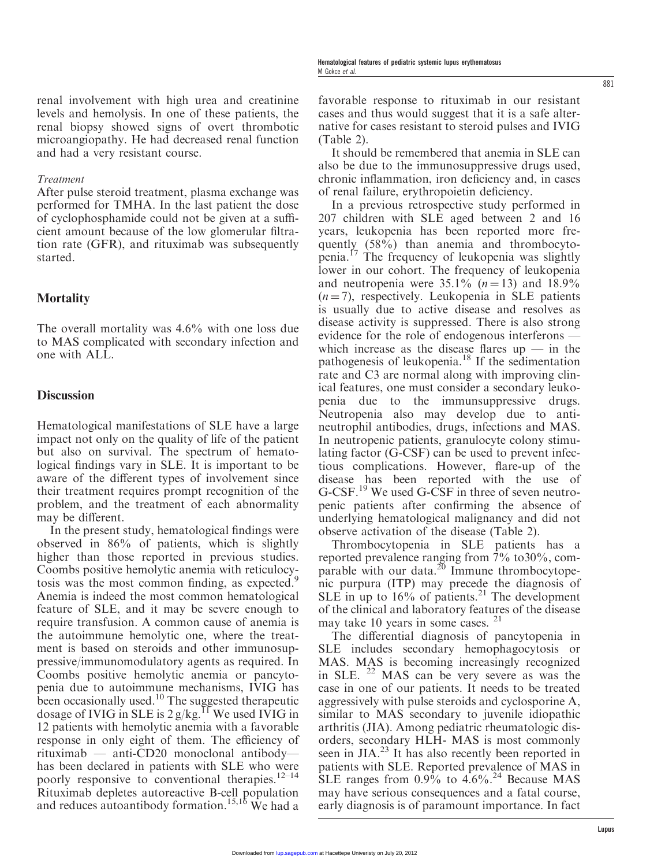renal involvement with high urea and creatinine levels and hemolysis. In one of these patients, the renal biopsy showed signs of overt thrombotic microangiopathy. He had decreased renal function and had a very resistant course.

#### Treatment

After pulse steroid treatment, plasma exchange was performed for TMHA. In the last patient the dose of cyclophosphamide could not be given at a sufficient amount because of the low glomerular filtration rate (GFR), and rituximab was subsequently started.

## **Mortality**

The overall mortality was 4.6% with one loss due to MAS complicated with secondary infection and one with ALL.

#### **Discussion**

Hematological manifestations of SLE have a large impact not only on the quality of life of the patient but also on survival. The spectrum of hematological findings vary in SLE. It is important to be aware of the different types of involvement since their treatment requires prompt recognition of the problem, and the treatment of each abnormality may be different.

In the present study, hematological findings were observed in 86% of patients, which is slightly higher than those reported in previous studies. Coombs positive hemolytic anemia with reticulocytosis was the most common finding, as expected.<sup>9</sup> Anemia is indeed the most common hematological feature of SLE, and it may be severe enough to require transfusion. A common cause of anemia is the autoimmune hemolytic one, where the treatment is based on steroids and other immunosuppressive/immunomodulatory agents as required. In Coombs positive hemolytic anemia or pancytopenia due to autoimmune mechanisms, IVIG has been occasionally used. $10$  The suggested therapeutic dosage of IVIG in SLE is  $2 g/kg$ .<sup>11</sup> We used IVIG in 12 patients with hemolytic anemia with a favorable response in only eight of them. The efficiency of rituximab — anti-CD20 monoclonal antibody has been declared in patients with SLE who were poorly responsive to conventional therapies. $12-14$ Rituximab depletes autoreactive B-cell population and reduces autoantibody formation.<sup>15,16</sup> We had a

favorable response to rituximab in our resistant cases and thus would suggest that it is a safe alternative for cases resistant to steroid pulses and IVIG (Table 2).

It should be remembered that anemia in SLE can also be due to the immunosuppressive drugs used, chronic inflammation, iron deficiency and, in cases of renal failure, erythropoietin deficiency.

In a previous retrospective study performed in 207 children with SLE aged between 2 and 16 years, leukopenia has been reported more frequently (58%) than anemia and thrombocytopenia.<sup>17</sup> The frequency of leukopenia was slightly lower in our cohort. The frequency of leukopenia and neutropenia were  $35.1\%$   $(n = 13)$  and  $18.9\%$  $(n = 7)$ , respectively. Leukopenia in SLE patients is usually due to active disease and resolves as disease activity is suppressed. There is also strong evidence for the role of endogenous interferons which increase as the disease flares  $up$  — in the pathogenesis of leukopenia.<sup>18</sup> If the sedimentation rate and C3 are normal along with improving clinical features, one must consider a secondary leukopenia due to the immunsuppressive drugs. Neutropenia also may develop due to antineutrophil antibodies, drugs, infections and MAS. In neutropenic patients, granulocyte colony stimulating factor (G-CSF) can be used to prevent infectious complications. However, flare-up of the disease has been reported with the use of G-CSF.<sup>19</sup> We used G-CSF in three of seven neutropenic patients after confirming the absence of underlying hematological malignancy and did not observe activation of the disease (Table 2).

Thrombocytopenia in SLE patients has a reported prevalence ranging from 7% to30%, comparable with our data. $^{20}$  Immune thrombocytopenic purpura (ITP) may precede the diagnosis of SLE in up to  $16\%$  of patients.<sup>21</sup> The development of the clinical and laboratory features of the disease may take 10 years in some cases. <sup>21</sup>

The differential diagnosis of pancytopenia in SLE includes secondary hemophagocytosis or MAS. MAS is becoming increasingly recognized in SLE. <sup>22</sup> MAS can be very severe as was the case in one of our patients. It needs to be treated aggressively with pulse steroids and cyclosporine A, similar to MAS secondary to juvenile idiopathic arthritis (JIA). Among pediatric rheumatologic disorders, secondary HLH- MAS is most commonly seen in JIA.<sup>23</sup> It has also recently been reported in patients with SLE. Reported prevalence of MAS in SLE ranges from  $0.9\%$  to  $4.6\%$ <sup>24</sup> Because MAS may have serious consequences and a fatal course, early diagnosis is of paramount importance. In fact 881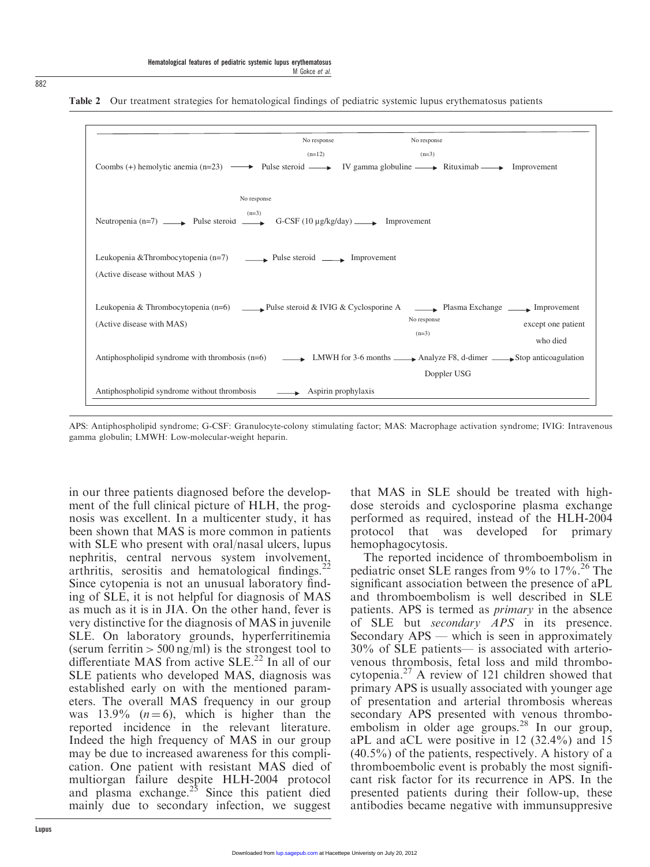

#### Table 2 Our treatment strategies for hematological findings of pediatric systemic lupus erythematosus patients

APS: Antiphospholipid syndrome; G-CSF: Granulocyte-colony stimulating factor; MAS: Macrophage activation syndrome; IVIG: Intravenous gamma globulin; LMWH: Low-molecular-weight heparin.

in our three patients diagnosed before the development of the full clinical picture of HLH, the prognosis was excellent. In a multicenter study, it has been shown that MAS is more common in patients with SLE who present with oral/nasal ulcers, lupus nephritis, central nervous system involvement, arthritis, serositis and hematological findings.<sup>22</sup> Since cytopenia is not an unusual laboratory finding of SLE, it is not helpful for diagnosis of MAS as much as it is in JIA. On the other hand, fever is very distinctive for the diagnosis of MAS in juvenile SLE. On laboratory grounds, hyperferritinemia (serum ferritin  $> 500$  ng/ml) is the strongest tool to differentiate MAS from active  $SLE<sup>22</sup>$  In all of our SLE patients who developed MAS, diagnosis was established early on with the mentioned parameters. The overall MAS frequency in our group was 13.9%  $(n=6)$ , which is higher than the reported incidence in the relevant literature. Indeed the high frequency of MAS in our group may be due to increased awareness for this complication. One patient with resistant MAS died of multiorgan failure despite HLH-2004 protocol and plasma exchange.<sup>25</sup> Since this patient died mainly due to secondary infection, we suggest that MAS in SLE should be treated with highdose steroids and cyclosporine plasma exchange performed as required, instead of the HLH-2004 protocol that was developed for primary hemophagocytosis.

The reported incidence of thromboembolism in pediatric onset SLE ranges from  $9\%$  to  $17\%$ .<sup>26</sup> The significant association between the presence of aPL and thromboembolism is well described in SLE patients. APS is termed as primary in the absence of SLE but secondary APS in its presence. Secondary APS — which is seen in approximately 30% of SLE patients— is associated with arteriovenous thrombosis, fetal loss and mild thrombocytopenia.<sup>27</sup> A review of 121 children showed that primary APS is usually associated with younger age of presentation and arterial thrombosis whereas secondary APS presented with venous thromboembolism in older age groups. $28$  In our group, aPL and aCL were positive in 12 (32.4%) and 15  $(40.5\%)$  of the patients, respectively. A history of a thromboembolic event is probably the most significant risk factor for its recurrence in APS. In the presented patients during their follow-up, these antibodies became negative with immunsuppresive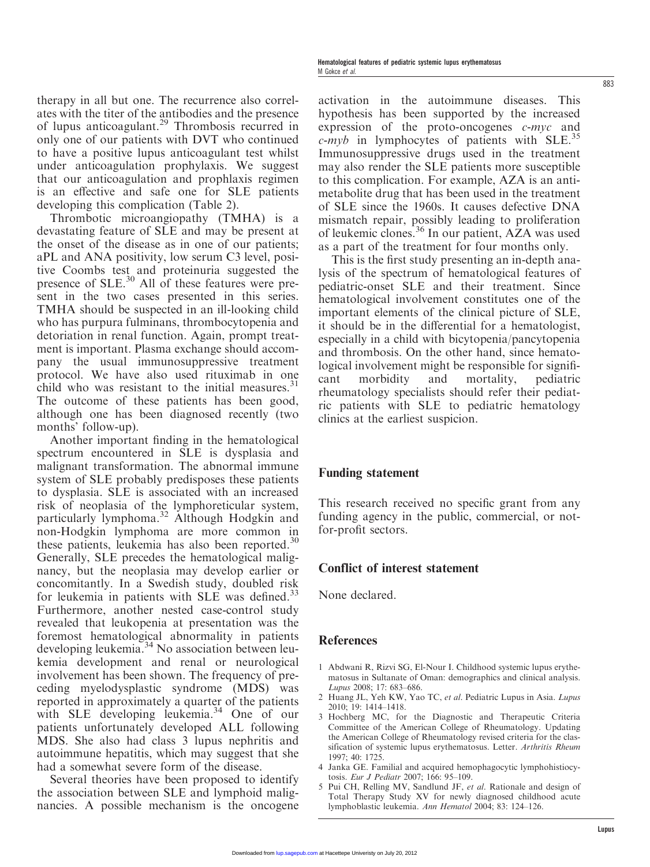therapy in all but one. The recurrence also correlates with the titer of the antibodies and the presence of lupus anticoagulant.<sup>29</sup> Thrombosis recurred in only one of our patients with DVT who continued to have a positive lupus anticoagulant test whilst under anticoagulation prophylaxis. We suggest that our anticoagulation and prophlaxis regimen is an effective and safe one for SLE patients developing this complication (Table 2).

Thrombotic microangiopathy (TMHA) is a devastating feature of SLE and may be present at the onset of the disease as in one of our patients; aPL and ANA positivity, low serum C3 level, positive Coombs test and proteinuria suggested the presence of SLE.<sup>30</sup> All of these features were present in the two cases presented in this series. TMHA should be suspected in an ill-looking child who has purpura fulminans, thrombocytopenia and detoriation in renal function. Again, prompt treatment is important. Plasma exchange should accompany the usual immunosuppressive treatment protocol. We have also used rituximab in one child who was resistant to the initial measures.<sup>31</sup> The outcome of these patients has been good, although one has been diagnosed recently (two months' follow-up).

Another important finding in the hematological spectrum encountered in SLE is dysplasia and malignant transformation. The abnormal immune system of SLE probably predisposes these patients to dysplasia. SLE is associated with an increased risk of neoplasia of the lymphoreticular system, particularly lymphoma.<sup>32</sup> Although Hodgkin and non-Hodgkin lymphoma are more common in these patients, leukemia has also been reported. $30$ Generally, SLE precedes the hematological malignancy, but the neoplasia may develop earlier or concomitantly. In a Swedish study, doubled risk for leukemia in patients with SLE was defined.<sup>33</sup> Furthermore, another nested case-control study revealed that leukopenia at presentation was the foremost hematological abnormality in patients developing leukemia. $34$  No association between leukemia development and renal or neurological involvement has been shown. The frequency of preceding myelodysplastic syndrome (MDS) was reported in approximately a quarter of the patients with SLE developing leukemia.<sup>34</sup> One of our patients unfortunately developed ALL following MDS. She also had class 3 lupus nephritis and autoimmune hepatitis, which may suggest that she had a somewhat severe form of the disease.

Several theories have been proposed to identify the association between SLE and lymphoid malignancies. A possible mechanism is the oncogene activation in the autoimmune diseases. This hypothesis has been supported by the increased expression of the proto-oncogenes  $c$ -myc and  $c$ -myb in lymphocytes of patients with SLE.<sup>35</sup> Immunosuppressive drugs used in the treatment may also render the SLE patients more susceptible to this complication. For example, AZA is an antimetabolite drug that has been used in the treatment of SLE since the 1960s. It causes defective DNA mismatch repair, possibly leading to proliferation of leukemic clones.<sup>36</sup> In our patient, AZA was used as a part of the treatment for four months only.

This is the first study presenting an in-depth analysis of the spectrum of hematological features of pediatric-onset SLE and their treatment. Since hematological involvement constitutes one of the important elements of the clinical picture of SLE, it should be in the differential for a hematologist, especially in a child with bicytopenia/pancytopenia and thrombosis. On the other hand, since hematological involvement might be responsible for significant morbidity and mortality, pediatric rheumatology specialists should refer their pediatric patients with SLE to pediatric hematology clinics at the earliest suspicion.

## Funding statement

This research received no specific grant from any funding agency in the public, commercial, or notfor-profit sectors.

## Conflict of interest statement

None declared.

## **References**

- 1 Abdwani R, Rizvi SG, El-Nour I. Childhood systemic lupus erythematosus in Sultanate of Oman: demographics and clinical analysis. Lupus 2008; 17: 683–686.
- 2 Huang JL, Yeh KW, Yao TC, et al. Pediatric Lupus in Asia. Lupus 2010; 19: 1414–1418.
- 3 Hochberg MC, for the Diagnostic and Therapeutic Criteria Committee of the American College of Rheumatology. Updating the American College of Rheumatology revised criteria for the classification of systemic lupus erythematosus. Letter. Arthritis Rheum 1997; 40: 1725.
- 4 Janka GE. Familial and acquired hemophagocytic lymphohistiocytosis. Eur J Pediatr 2007; 166: 95–109.
- 5 Pui CH, Relling MV, Sandlund JF, et al. Rationale and design of Total Therapy Study XV for newly diagnosed childhood acute lymphoblastic leukemia. Ann Hematol 2004; 83: 124–126.